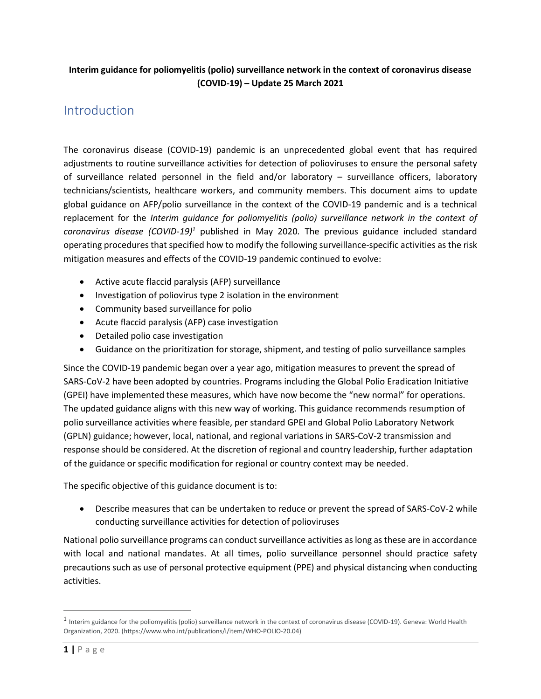### **Interim guidance for poliomyelitis (polio) surveillance network in the context of coronavirus disease (COVID-19) – Update 25 March 2021**

## Introduction

The coronavirus disease (COVID-19) pandemic is an unprecedented global event that has required adjustments to routine surveillance activities for detection of polioviruses to ensure the personal safety of surveillance related personnel in the field and/or laboratory – surveillance officers, laboratory technicians/scientists, healthcare workers, and community members. This document aims to update global guidance on AFP/polio surveillance in the context of the COVID-19 pandemic and is a technical replacement for the *Interim guidance for poliomyelitis (polio) surveillance network in the context of coronavirus disease (COVID-19)<sup>1</sup>* published in May 2020*.* The previous guidance included standard operating procedures that specified how to modify the following surveillance-specific activities as the risk mitigation measures and effects of the COVID-19 pandemic continued to evolve:

- Active acute flaccid paralysis (AFP) surveillance
- Investigation of poliovirus type 2 isolation in the environment
- Community based surveillance for polio
- Acute flaccid paralysis (AFP) case investigation
- Detailed polio case investigation
- Guidance on the prioritization for storage, shipment, and testing of polio surveillance samples

Since the COVID-19 pandemic began over a year ago, mitigation measures to prevent the spread of SARS-CoV-2 have been adopted by countries. Programs including the Global Polio Eradication Initiative (GPEI) have implemented these measures, which have now become the "new normal" for operations. The updated guidance aligns with this new way of working. This guidance recommends resumption of polio surveillance activities where feasible, per standard GPEI and Global Polio Laboratory Network (GPLN) guidance; however, local, national, and regional variations in SARS-CoV-2 transmission and response should be considered. At the discretion of regional and country leadership, further adaptation of the guidance or specific modification for regional or country context may be needed.

The specific objective of this guidance document is to:

• Describe measures that can be undertaken to reduce or prevent the spread of SARS-CoV-2 while conducting surveillance activities for detection of polioviruses

National polio surveillance programs can conduct surveillance activities as long as these are in accordance with local and national mandates. At all times, polio surveillance personnel should practice safety precautions such as use of personal protective equipment (PPE) and physical distancing when conducting activities.

 $^1$  Interim guidance for the poliomyelitis (polio) surveillance network in the context of coronavirus disease (COVID-19). Geneva: World Health Organization, 2020. (https://www.who.int/publications/i/item/WHO-POLIO-20.04)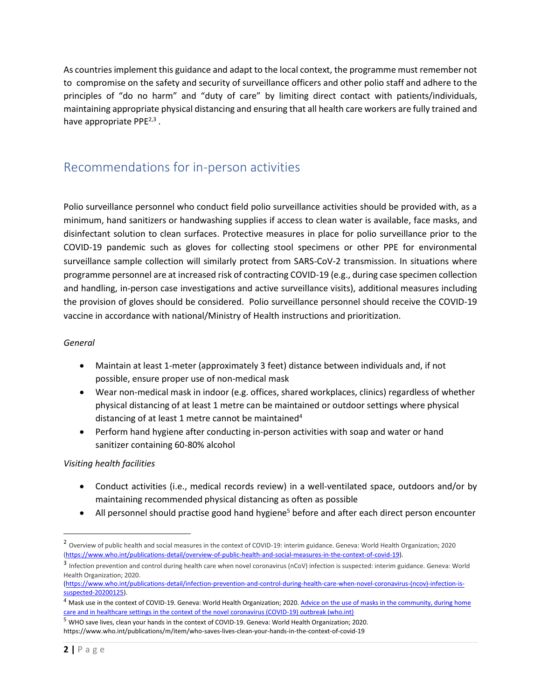As countries implement this guidance and adapt to the local context, the programme must remember not to compromise on the safety and security of surveillance officers and other polio staff and adhere to the principles of "do no harm" and "duty of care" by limiting direct contact with patients/individuals, maintaining appropriate physical distancing and ensuring that all health care workers are fully trained and have appropriate PPE2,3 *.*

## Recommendations for in-person activities

Polio surveillance personnel who conduct field polio surveillance activities should be provided with, as a minimum, hand sanitizers or handwashing supplies if access to clean water is available, face masks, and disinfectant solution to clean surfaces. Protective measures in place for polio surveillance prior to the COVID-19 pandemic such as gloves for collecting stool specimens or other PPE for environmental surveillance sample collection will similarly protect from SARS-CoV-2 transmission. In situations where programme personnel are at increased risk of contracting COVID-19 (e.g., during case specimen collection and handling, in-person case investigations and active surveillance visits), additional measures including the provision of gloves should be considered. Polio surveillance personnel should receive the COVID-19 vaccine in accordance with national/Ministry of Health instructions and prioritization.

#### *General*

- Maintain at least 1-meter (approximately 3 feet) distance between individuals and, if not possible, ensure proper use of non-medical mask
- Wear non-medical mask in indoor (e.g. offices, shared workplaces, clinics) regardless of whether physical distancing of at least 1 metre can be maintained or outdoor settings where physical distancing of at least 1 metre cannot be maintained<sup>4</sup>
- Perform hand hygiene after conducting in-person activities with soap and water or hand sanitizer containing 60-80% alcohol

#### *Visiting health facilities*

- Conduct activities (i.e., medical records review) in a well-ventilated space, outdoors and/or by maintaining recommended physical distancing as often as possible
- All personnel should practise good hand hygiene<sup>5</sup> before and after each direct person encounter

<sup>&</sup>lt;sup>2</sup> Overview of public health and social measures in the context of COVID-19: interim guidance. Geneva: World Health Organization; 2020 [\(https://www.who.int/publications-detail/overview-of-public-health-and-social-measures-in-the-context-of-covid-19\)](https://www.who.int/publications-detail/overview-of-public-health-and-social-measures-in-the-context-of-covid-19).

<sup>&</sup>lt;sup>3</sup> Infection prevention and control during health care when novel coronavirus (nCoV) infection is suspected: interim guidance. Geneva: World Health Organization; 2020.

[<sup>\(</sup>https://www.who.int/publications-detail/infection-prevention-and-control-during-health-care-when-novel-coronavirus-\(ncov\)-infection-is](https://www.who.int/publications-detail/infection-prevention-and-control-during-health-care-when-novel-coronavirus-(ncov)-infection-is-suspected-20200125)[suspected-20200125\)](https://www.who.int/publications-detail/infection-prevention-and-control-during-health-care-when-novel-coronavirus-(ncov)-infection-is-suspected-20200125).

<sup>&</sup>lt;sup>4</sup> Mask use in the context of COVID-19. Geneva: World Health Organization; 2020. Advice on the use of masks in the community, during home [care and in healthcare settings in the context of the novel coronavirus \(COVID-19\) outbreak \(who.int\)](https://www.who.int/publications/i/item/advice-on-the-use-of-masks-in-the-community-during-home-care-and-in-healthcare-settings-in-the-context-of-the-novel-coronavirus-(2019-ncov)-outbreak)

<sup>5</sup> WHO save lives, clean your hands in the context of COVID-19. Geneva: World Health Organization; 2020. https://www.who.int/publications/m/item/who-saves-lives-clean-your-hands-in-the-context-of-covid-19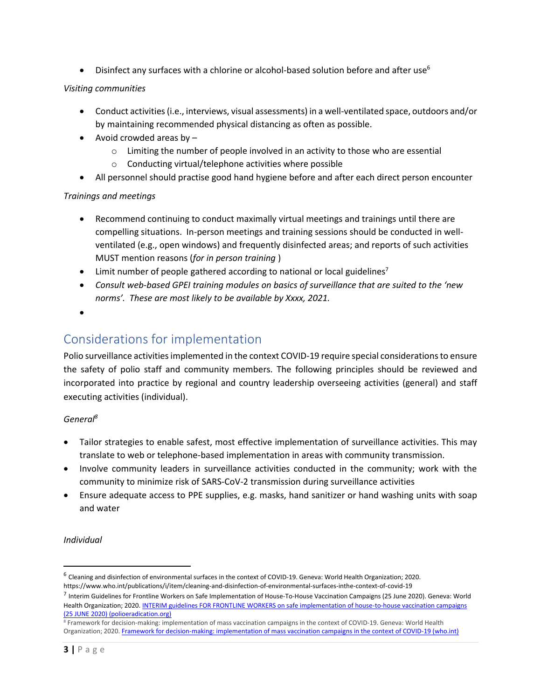• Disinfect any surfaces with a chlorine or alcohol-based solution before and after use<sup>6</sup>

#### *Visiting communities*

- Conduct activities (i.e., interviews, visual assessments) in a well-ventilated space, outdoors and/or by maintaining recommended physical distancing as often as possible.
- Avoid crowded areas by  $-$ 
	- $\circ$  Limiting the number of people involved in an activity to those who are essential
	- o Conducting virtual/telephone activities where possible
- All personnel should practise good hand hygiene before and after each direct person encounter

#### *Trainings and meetings*

- Recommend continuing to conduct maximally virtual meetings and trainings until there are compelling situations. In-person meetings and training sessions should be conducted in wellventilated (e.g., open windows) and frequently disinfected areas; and reports of such activities MUST mention reasons (*for in person training* )
- Limit number of people gathered according to national or local guidelines<sup>7</sup>
- *Consult web-based GPEI training modules on basics of surveillance that are suited to the 'new norms'. These are most likely to be available by Xxxx, 2021.*
- •

## Considerations for implementation

Polio surveillance activities implemented in the context COVID-19 require special considerationsto ensure the safety of polio staff and community members. The following principles should be reviewed and incorporated into practice by regional and country leadership overseeing activities (general) and staff executing activities (individual).

#### *General<sup>8</sup>*

- Tailor strategies to enable safest, most effective implementation of surveillance activities. This may translate to web or telephone-based implementation in areas with community transmission.
- Involve community leaders in surveillance activities conducted in the community; work with the community to minimize risk of SARS-CoV-2 transmission during surveillance activities
- Ensure adequate access to PPE supplies, e.g. masks, hand sanitizer or hand washing units with soap and water

#### *Individual*

<sup>&</sup>lt;sup>6</sup> Cleaning and disinfection of environmental surfaces in the context of COVID-19. Geneva: World Health Organization; 2020. https://www.who.int/publications/i/item/cleaning-and-disinfection-of-environmental-surfaces-inthe-context-of-covid-19

<sup>7</sup> Interim Guidelines for Frontline Workers on Safe Implementation of House-To-House Vaccination Campaigns (25 June 2020). Geneva: World Health Organization; 2020[. INTERIM guidelines FOR FRONTLINE WORKERS on safe implementation of house-to-house vaccination campaigns](https://polioeradication.org/wp-content/uploads/2020/03/Interim-guidelines-for-frontline-workers-on-safe-implementation-of-house-to-house-vaccination-campaigns.pdf)  [\(25 JUNE 2020\) \(polioeradication.org\)](https://polioeradication.org/wp-content/uploads/2020/03/Interim-guidelines-for-frontline-workers-on-safe-implementation-of-house-to-house-vaccination-campaigns.pdf)

<sup>8</sup> Framework for decision-making: implementation of mass vaccination campaigns in the context of COVID-19. Geneva: World Health Organization; 2020. [Framework for decision-making: implementation of mass vaccination campaigns in the context](https://www.who.int/publications/i/item/WHO-2019-nCoV-Framework_Mass_Vaccination-2020.1) of COVID-19 (who.int)